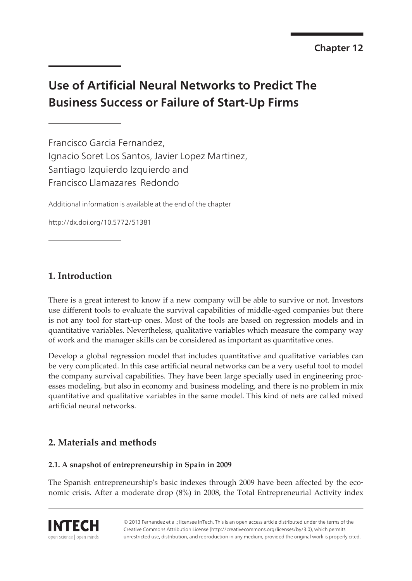# **Use of Artificial Neural Networks to Predict The Business Success or Failure of Start-Up Firms**

Francisco Garcia Fernandez, Ignacio Soret Los Santos, Javier Lopez Martinez, Santiago Izquierdo Izquierdo and Francisco Llamazares Redondo

Additional information is available at the end of the chapter

http://dx.doi.org/10.5772/51381

## **1. Introduction**

There is a great interest to know if a new company will be able to survive or not. Investors use different tools to evaluate the survival capabilities of middle-aged companies but there is not any tool for start-up ones. Most of the tools are based on regression models and in quantitative variables. Nevertheless, qualitative variables which measure the company way of work and the manager skills can be considered as important as quantitative ones.

Develop a global regression model that includes quantitative and qualitative variables can be very complicated. In this case artificial neural networks can be a very useful tool to model the company survival capabilities. They have been large specially used in engineering proc‐ esses modeling, but also in economy and business modeling, and there is no problem in mix quantitative and qualitative variables in the same model. This kind of nets are called mixed artificial neural networks.

## **2. Materials and methods**

### **2.1. A snapshot of entrepreneurship in Spain in 2009**

The Spanish entrepreneurship's basic indexes through 2009 have been affected by the economic crisis. After a moderate drop (8%) in 2008, the Total Entrepreneurial Activity index

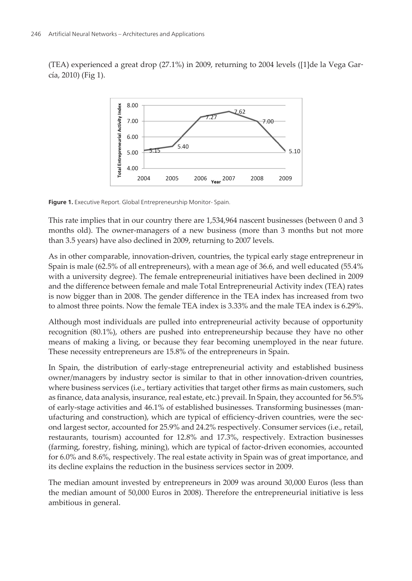(TEA) experienced a great drop (27.1%) in 2009, returning to 2004 levels ([[1](#page-10-0)]de la Vega Gar‐ cía, 2010) (Fig 1).



**Figure 1.** Executive Report. Global Entrepreneurship Monitor- Spain.

This rate implies that in our country there are 1,534,964 nascent businesses (between 0 and 3 months old). The owner-managers of a new business (more than 3 months but not more than 3.5 years) have also declined in 2009, returning to 2007 levels.

As in other comparable, innovation-driven, countries, the typical early stage entrepreneur in Spain is male (62.5% of all entrepreneurs), with a mean age of 36.6, and well educated (55.4% with a university degree). The female entrepreneurial initiatives have been declined in 2009 and the difference between female and male Total Entrepreneurial Activity index (TEA) rates is now bigger than in 2008. The gender difference in the TEA index has increased from two to almost three points. Now the female TEA index is 3.33% and the male TEA index is 6.29%.

Although most individuals are pulled into entrepreneurial activity because of opportunity recognition (80.1%), others are pushed into entrepreneurship because they have no other means of making a living, or because they fear becoming unemployed in the near future. These necessity entrepreneurs are 15.8% of the entrepreneurs in Spain.

In Spain, the distribution of early-stage entrepreneurial activity and established business owner/managers by industry sector is similar to that in other innovation-driven countries, where business services (i.e., tertiary activities that target other firms as main customers, such as finance, data analysis, insurance, real estate, etc.) prevail. In Spain, they accounted for 56.5% of early-stage activities and 46.1% of established businesses. Transforming businesses (man‐ ufacturing and construction), which are typical of efficiency-driven countries, were the second largest sector, accounted for 25.9% and 24.2% respectively. Consumer services (i.e., retail, restaurants, tourism) accounted for 12.8% and 17.3%, respectively. Extraction businesses (farming, forestry, fishing, mining), which are typical of factor-driven economies, accounted for 6.0% and 8.6%, respectively. The real estate activity in Spain was of great importance, and its decline explains the reduction in the business services sector in 2009.

The median amount invested by entrepreneurs in 2009 was around 30,000 Euros (less than the median amount of 50,000 Euros in 2008). Therefore the entrepreneurial initiative is less ambitious in general.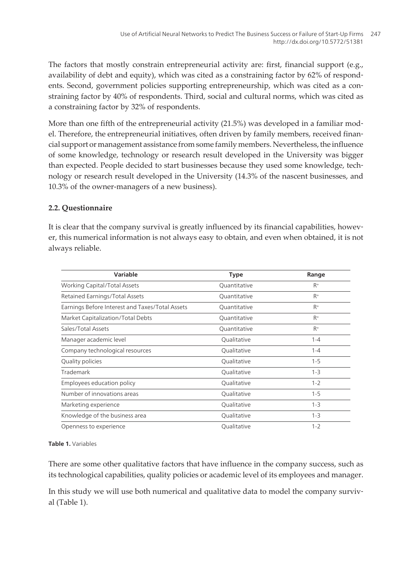The factors that mostly constrain entrepreneurial activity are: first, financial support (e.g., availability of debt and equity), which was cited as a constraining factor by 62% of respondents. Second, government policies supporting entrepreneurship, which was cited as a constraining factor by 40% of respondents. Third, social and cultural norms, which was cited as a constraining factor by 32% of respondents.

More than one fifth of the entrepreneurial activity (21.5%) was developed in a familiar model. Therefore, the entrepreneurial initiatives, often driven by family members, received financial support or management assistance from some family members. Nevertheless, the influence of some knowledge, technology or research result developed in the University was bigger than expected. People decided to start businesses because they used some knowledge, tech‐ nology or research result developed in the University (14.3% of the nascent businesses, and 10.3% of the owner-managers of a new business).

#### **2.2. Questionnaire**

It is clear that the company survival is greatly influenced by its financial capabilities, however, this numerical information is not always easy to obtain, and even when obtained, it is not always reliable.

| Variable                                        | <b>Type</b>  | Range   |
|-------------------------------------------------|--------------|---------|
| <b>Working Capital/Total Assets</b>             | Quantitative | $R+$    |
| Retained Earnings/Total Assets                  | Quantitative | $R+$    |
| Earnings Before Interest and Taxes/Total Assets | Quantitative | $R^+$   |
| Market Capitalization/Total Debts               | Quantitative | $R+$    |
| Sales/Total Assets                              | Quantitative | $R+$    |
| Manager academic level                          | Qualitative  | $1 - 4$ |
| Company technological resources                 | Qualitative  | $1 - 4$ |
| Quality policies                                | Qualitative  | $1 - 5$ |
| Trademark                                       | Qualitative  | $1 - 3$ |
| Employees education policy                      | Qualitative  | $1 - 2$ |
| Number of innovations areas                     | Qualitative  | $1 - 5$ |
| Marketing experience                            | Qualitative  | $1 - 3$ |
| Knowledge of the business area                  | Qualitative  | $1 - 3$ |
| Openness to experience                          | Qualitative  | $1 - 2$ |

#### **Table 1.** Variables

There are some other qualitative factors that have influence in the company success, such as its technological capabilities, quality policies or academic level of its employees and manager.

In this study we will use both numerical and qualitative data to model the company survival (Table 1).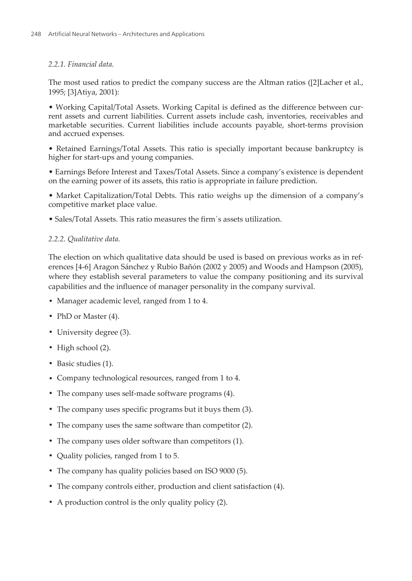#### *2.2.1. Financial data.*

The most used ratios to predict the company success are the Altman ratios ([\[2\]](#page-10-0)Lacher et al., 1995; [\[3\]](#page-10-0)Atiya, 2001):

• Working Capital/Total Assets. Working Capital is defined as the difference between cur‐ rent assets and current liabilities. Current assets include cash, inventories, receivables and marketable securities. Current liabilities include accounts payable, short-terms provision and accrued expenses.

• Retained Earnings/Total Assets. This ratio is specially important because bankruptcy is higher for start-ups and young companies.

• Earnings Before Interest and Taxes/Total Assets. Since a company's existence is dependent on the earning power of its assets, this ratio is appropriate in failure prediction.

• Market Capitalization/Total Debts. This ratio weighs up the dimension of a company's competitive market place value.

• Sales/Total Assets. This ratio measures the firm´s assets utilization.

#### *2.2.2. Qualitative data.*

The election on which qualitative data should be used is based on previous works as in ref‐ erences [[4-6\]](#page-10-0) Aragon Sánchez y Rubio Bañón (2002 y 2005) and Woods and Hampson (2005), where they establish several parameters to value the company positioning and its survival capabilities and the influence of manager personality in the company survival.

- **•** Manager academic level, ranged from 1 to 4.
- **•** PhD or Master (4).
- **•** University degree (3).
- **•** High school (2).
- **•** Basic studies (1).
- **•** Company technological resources, ranged from 1 to 4.
- **•** The company uses self-made software programs (4).
- **•** The company uses specific programs but it buys them (3).
- **•** The company uses the same software than competitor (2).
- **•** The company uses older software than competitors (1).
- **•** Quality policies, ranged from 1 to 5.
- **•** The company has quality policies based on ISO 9000 (5).
- **•** The company controls either, production and client satisfaction (4).
- **•** A production control is the only quality policy (2).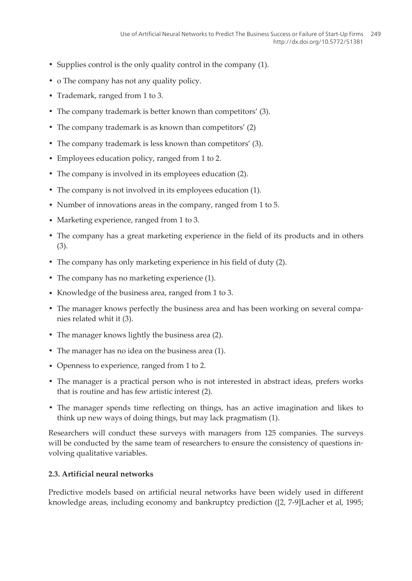- **•** Supplies control is the only quality control in the company (1).
- **•** o The company has not any quality policy.
- **•** Trademark, ranged from 1 to 3.
- **•** The company trademark is better known than competitors' (3).
- The company trademark is as known than competitors' (2)
- The company trademark is less known than competitors' (3).
- **•** Employees education policy, ranged from 1 to 2.
- **•** The company is involved in its employees education (2).
- **•** The company is not involved in its employees education (1).
- **•** Number of innovations areas in the company, ranged from 1 to 5.
- **•** Marketing experience, ranged from 1 to 3.
- **•** The company has a great marketing experience in the field of its products and in others (3).
- **•** The company has only marketing experience in his field of duty (2).
- **•** The company has no marketing experience (1).
- **•** Knowledge of the business area, ranged from 1 to 3.
- The manager knows perfectly the business area and has been working on several companies related whit it (3).
- **•** The manager knows lightly the business area (2).
- **•** The manager has no idea on the business area (1).
- **•** Openness to experience, ranged from 1 to 2.
- **•** The manager is a practical person who is not interested in abstract ideas, prefers works that is routine and has few artistic interest (2).
- **•** The manager spends time reflecting on things, has an active imagination and likes to think up new ways of doing things, but may lack pragmatism (1).

Researchers will conduct these surveys with managers from 125 companies. The surveys will be conducted by the same team of researchers to ensure the consistency of questions involving qualitative variables.

#### **2.3. Artificial neural networks**

Predictive models based on artificial neural networks have been widely used in different knowledge areas, including economy and bankruptcy prediction ([[2](#page-10-0), [7-9](#page-10-0)]Lacher et al, 1995;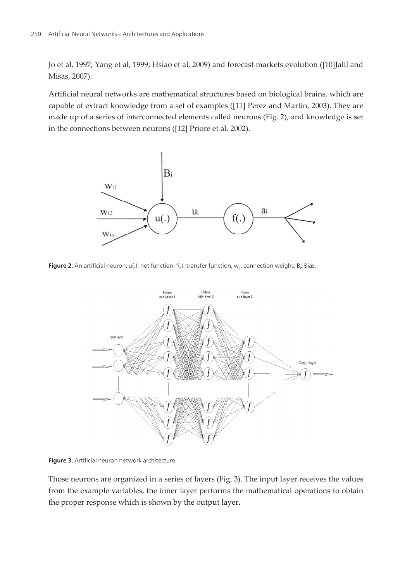Jo et al, 1997; Yang et al, 1999; Hsiao et al, 2009) and forecast markets evolution ([\[10](#page-10-0)]Jalil and Misas, 2007).

Artificial neural networks are mathematical structures based on biological brains, which are capable of extract knowledge from a set of examples ([\[11](#page-10-0)] Perez and Martin, 2003). They are made up of a series of interconnected elements called neurons (Fig. 2), and knowledge is set in the connections between neurons ([[12\]](#page-10-0) Priore et al, 2002).



**Figure 2.** An artificial neuron. u(.): net function, f(.): transfer function, w<sub>ij</sub>: connection weighs, B<sub>i</sub>: Bias.



**Figure 3.** Artificial neuron network architecture.

Those neurons are organized in a series of layers (Fig. 3). The input layer receives the values from the example variables, the inner layer performs the mathematical operations to obtain the proper response which is shown by the output layer.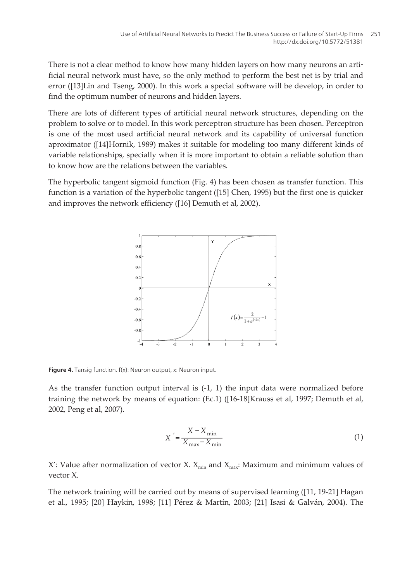There is not a clear method to know how many hidden layers on how many neurons an artificial neural network must have, so the only method to perform the best net is by trial and error ([\[13](#page-10-0)]Lin and Tseng, 2000). In this work a special software will be develop, in order to find the optimum number of neurons and hidden layers.

There are lots of different types of artificial neural network structures, depending on the problem to solve or to model. In this work perceptron structure has been chosen. Perceptron is one of the most used artificial neural network and its capability of universal function aproximator ([\[14](#page-10-0)]Hornik, 1989) makes it suitable for modeling too many different kinds of variable relationships, specially when it is more important to obtain a reliable solution than to know how are the relations between the variables.

The hyperbolic tangent sigmoid function (Fig. 4) has been chosen as transfer function. This function is a variation of the hyperbolic tangent ([\[15](#page-11-0)] Chen, 1995) but the first one is quicker and improves the network efficiency ([[16\]](#page-11-0) Demuth et al, 2002).



**Figure 4.** Tansig function. f(x): Neuron output, x: Neuron input.

As the transfer function output interval is (-1, 1) the input data were normalized before training the network by means of equation: (Ec.1) ([[16-18\]](#page-11-0)Krauss et al, 1997; Demuth et al, 2002, Peng et al, 2007).

$$
X' = \frac{X - X_{\min}}{X_{\max} - X_{\min}}
$$
\n<sup>(1)</sup>

X': Value after normalization of vector X.  $X_{min}$  and  $X_{max}$ : Maximum and minimum values of vector X.

The network training will be carried out by means of supervised learning ([\[11](#page-10-0), [19-21](#page-11-0)] Hagan et al., 1995; [[20\]](#page-11-0) Haykin, 1998; [\[11](#page-10-0)] Pérez & Martín, 2003; [[21\]](#page-11-0) Isasi & Galván, 2004). The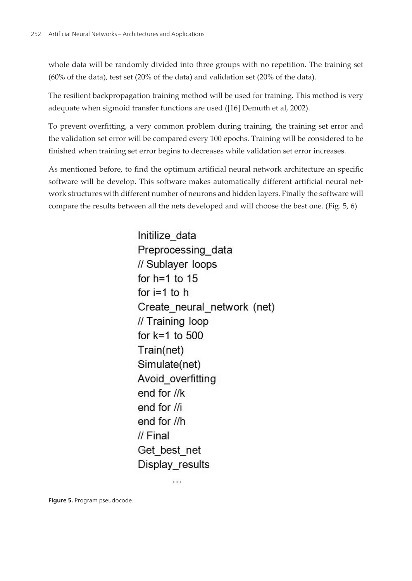whole data will be randomly divided into three groups with no repetition. The training set (60% of the data), test set (20% of the data) and validation set (20% of the data).

The resilient backpropagation training method will be used for training. This method is very adequate when sigmoid transfer functions are used ([\[16](#page-11-0)] Demuth et al, 2002).

To prevent overfitting, a very common problem during training, the training set error and the validation set error will be compared every 100 epochs. Training will be considered to be finished when training set error begins to decreases while validation set error increases.

As mentioned before, to find the optimum artificial neural network architecture an specific software will be develop. This software makes automatically different artificial neural network structures with different number of neurons and hidden layers. Finally the software will compare the results between all the nets developed and will choose the best one. (Fig. 5, 6)

> Initilize data Preprocessing data // Sublaver loops for  $h=1$  to 15 for  $i=1$  to h Create neural network (net) // Training loop for  $k=1$  to 500 Train(net) Simulate(net) Avoid overfitting end for //k end for  $\frac{1}{i}$ end for //h  $II$  Final Get best net Display results

> > . . .

**Figure 5.** Program pseudocode.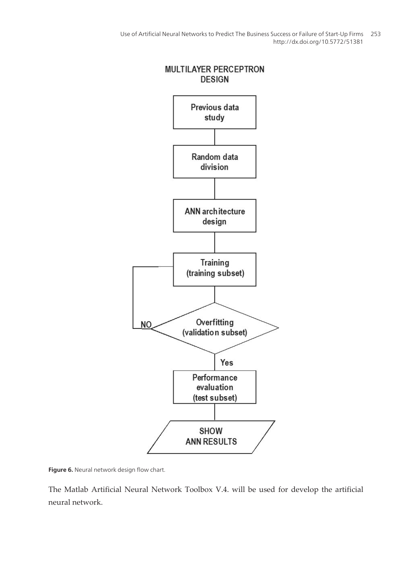

**Figure 6.** Neural network design flow chart.

The Matlab Artificial Neural Network Toolbox V.4. will be used for develop the artificial neural network.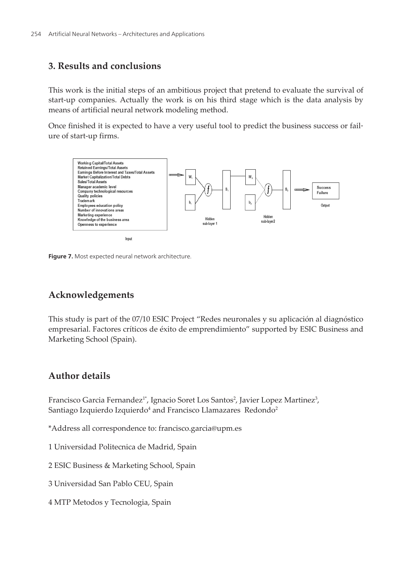## **3. Results and conclusions**

This work is the initial steps of an ambitious project that pretend to evaluate the survival of start-up companies. Actually the work is on his third stage which is the data analysis by means of artificial neural network modeling method.

Once finished it is expected to have a very useful tool to predict the business success or fail‐ ure of start-up firms.



**Figure 7.** Most expected neural network architecture.

## **Acknowledgements**

This study is part of the 07/10 ESIC Project "Redes neuronales y su aplicación al diagnóstico empresarial. Factores críticos de éxito de emprendimiento" supported by ESIC Business and Marketing School (Spain).

## **Author details**

Francisco Garcia Fernandez<sup>1\*</sup>, Ignacio Soret Los Santos<sup>2</sup>, Javier Lopez Martinez<sup>3</sup>, Santiago Izquierdo Izquierdo $^4$  and Francisco Llamazares  $\rm\,Redondo^2$ 

- \*Address all correspondence to: francisco.garcia@upm.es
- 1 Universidad Politecnica de Madrid, Spain
- 2 ESIC Business & Marketing School, Spain
- 3 Universidad San Pablo CEU, Spain
- 4 MTP Metodos y Tecnologia, Spain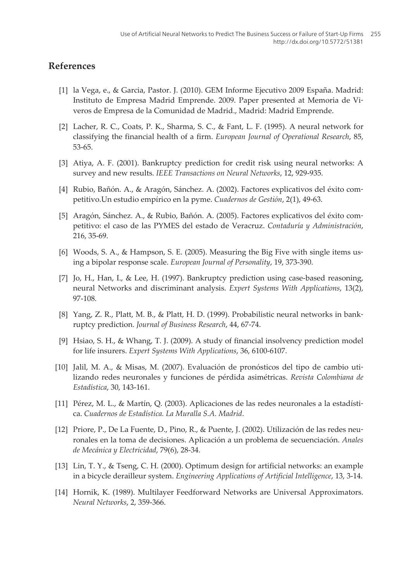## <span id="page-10-0"></span>**References**

- [1] la Vega, e., & Garcia, Pastor. J. (2010). GEM Informe Ejecutivo 2009 España. Madrid: Instituto de Empresa Madrid Emprende. 2009. Paper presented at Memoria de Vi‐ veros de Empresa de la Comunidad de Madrid., Madrid: Madrid Emprende.
- [2] Lacher, R. C., Coats, P. K., Sharma, S. C., & Fant, L. F. (1995). A neural network for classifying the financial health of a firm. *European Journal of Operational Research*, 85, 53-65.
- [3] Atiya, A. F. (2001). Bankruptcy prediction for credit risk using neural networks: A survey and new results. *IEEE Transactions on Neural Networks*, 12, 929-935.
- [4] Rubio, Bañón. A., & Aragón, Sánchez. A. (2002). Factores explicativos del éxito com‐ petitivo.Un estudio empírico en la pyme. *Cuadernos de Gestión*, 2(1), 49-63.
- [5] Aragón, Sánchez. A., & Rubio, Bañón. A. (2005). Factores explicativos del éxito com‐ petitivo: el caso de las PYMES del estado de Veracruz. *Contaduría y Administración*, 216, 35-69.
- [6] Woods, S. A., & Hampson, S. E. (2005). Measuring the Big Five with single items us‐ ing a bipolar response scale. *European Journal of Personality*, 19, 373-390.
- [7] Jo, H., Han, I., & Lee, H. (1997). Bankruptcy prediction using case-based reasoning, neural Networks and discriminant analysis. *Expert Systems With Applications*, 13(2), 97-108.
- [8] Yang, Z. R., Platt, M. B., & Platt, H. D. (1999). Probabilistic neural networks in bank‐ ruptcy prediction. *Journal of Business Research*, 44, 67-74.
- [9] Hsiao, S. H., & Whang, T. J. (2009). A study of financial insolvency prediction model for life insurers. *Expert Systems With Applications*, 36, 6100-6107.
- [10] Jalil, M. A., & Misas, M. (2007). Evaluación de pronósticos del tipo de cambio uti‐ lizando redes neuronales y funciones de pérdida asimétricas. *Revista Colombiana de Estadística*, 30, 143-161.
- [11] Pérez, M. L., & Martín, Q. (2003). Aplicaciones de las redes neuronales a la estadística. *Cuadernos de Estadística. La Muralla S.A. Madrid*.
- [12] Priore, P., De La Fuente, D., Pino, R., & Puente, J. (2002). Utilización de las redes neuronales en la toma de decisiones. Aplicación a un problema de secuenciación. *Anales de Mecánica y Electricidad*, 79(6), 28-34.
- [13] Lin, T. Y., & Tseng, C. H. (2000). Optimum design for artificial networks: an example in a bicycle derailleur system. *Engineering Applications of Artificial Intelligence*, 13, 3-14.
- [14] Hornik, K. (1989). Multilayer Feedforward Networks are Universal Approximators. *Neural Networks*, 2, 359-366.